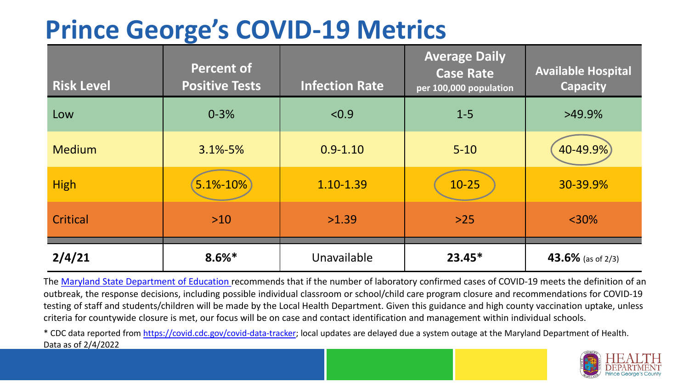## **Prince George's COVID-19 Metrics**

| <b>Risk Level</b> | <b>Percent of</b><br><b>Positive Tests</b> | <b>Infection Rate</b> | <b>Average Daily</b><br><b>Case Rate</b><br>per 100,000 population | <b>Available Hospital</b><br><b>Capacity</b> |
|-------------------|--------------------------------------------|-----------------------|--------------------------------------------------------------------|----------------------------------------------|
| Low               | $0 - 3%$                                   | < 0.9                 | $1 - 5$                                                            | $>49.9\%$                                    |
| <b>Medium</b>     | $3.1\% - 5\%$                              | $0.9 - 1.10$          | $5 - 10$                                                           | 40-49.9%)                                    |
| <b>High</b>       | 5.1%-10%                                   | 1.10-1.39             | $10 - 25$                                                          | 30-39.9%                                     |
| Critical          | $>10$                                      | >1.39                 | $>25$                                                              | $<$ 30%                                      |
| 2/4/21            | $8.6\%*$                                   | Unavailable           | $23.45*$                                                           | 43.6% (as of 2/3)                            |

The [Maryland State Department of Education](https://earlychildhood.marylandpublicschools.org/system/files/filedepot/3/covid_guidance_full_080420.pdf) recommends that if the number of laboratory confirmed cases of COVID-19 meets the definition of an outbreak, the response decisions, including possible individual classroom or school/child care program closure and recommendations for COVID-19 testing of staff and students/children will be made by the Local Health Department. Given this guidance and high county vaccination uptake, unless criteria for countywide closure is met, our focus will be on case and contact identification and management within individual schools.

\* CDC data reported from <https://covid.cdc.gov/covid-data-tracker>; local updates are delayed due a system outage at the Maryland Department of Health. Data as of 2/4/2022

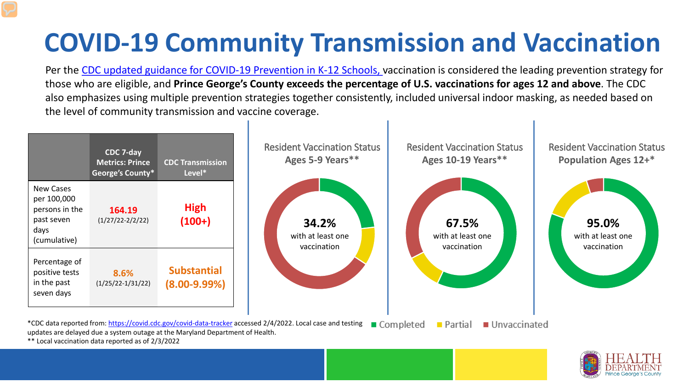## **COVID-19 Community Transmission and Vaccination**

Per the [CDC updated guidance for COVID-19 Prevention in K-12 Schools,](https://www.cdc.gov/coronavirus/2019-ncov/community/schools-childcare/k-12-guidance.html) vaccination is considered the leading prevention strategy for those who are eligible, and **Prince George's County exceeds the percentage of U.S. vaccinations for ages 12 and above**. The CDC also emphasizes using multiple prevention strategies together consistently, included universal indoor masking, as needed based on the level of community transmission and vaccine coverage.





\*\* Local vaccination data reported as of 2/3/2022